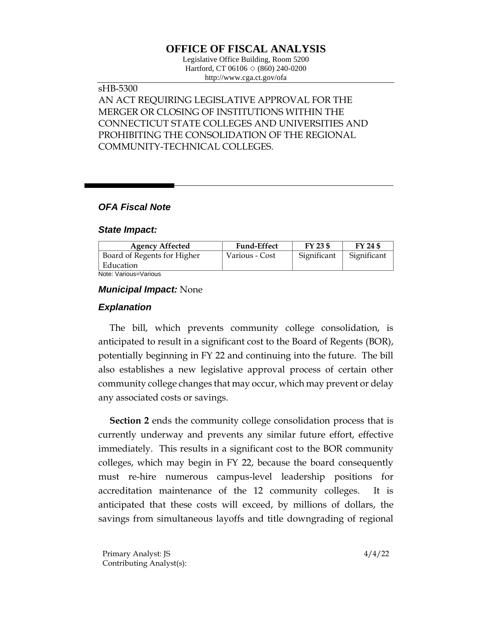# **OFFICE OF FISCAL ANALYSIS**

Legislative Office Building, Room 5200 Hartford, CT 06106  $\Diamond$  (860) 240-0200 http://www.cga.ct.gov/ofa

### sHB-5300 AN ACT REQUIRING LEGISLATIVE APPROVAL FOR THE MERGER OR CLOSING OF INSTITUTIONS WITHIN THE CONNECTICUT STATE COLLEGES AND UNIVERSITIES AND PROHIBITING THE CONSOLIDATION OF THE REGIONAL COMMUNITY-TECHNICAL COLLEGES.

### *OFA Fiscal Note*

#### *State Impact:*

| <b>Agency Affected</b>      | <b>Fund-Effect</b> | $FY$ 23 \$  | FY 24 \$    |
|-----------------------------|--------------------|-------------|-------------|
| Board of Regents for Higher | Various - Cost     | Significant | Significant |
| Education                   |                    |             |             |
| Noto: Various-Various       |                    |             |             |

Note: Various=Various

#### *Municipal Impact:* None

#### *Explanation*

The bill, which prevents community college consolidation, is anticipated to result in a significant cost to the Board of Regents (BOR), potentially beginning in FY 22 and continuing into the future. The bill also establishes a new legislative approval process of certain other community college changes that may occur, which may prevent or delay any associated costs or savings.

**Section 2** ends the community college consolidation process that is currently underway and prevents any similar future effort, effective immediately. This results in a significant cost to the BOR community colleges, which may begin in FY 22, because the board consequently must re-hire numerous campus-level leadership positions for accreditation maintenance of the 12 community colleges. It is anticipated that these costs will exceed, by millions of dollars, the savings from simultaneous layoffs and title downgrading of regional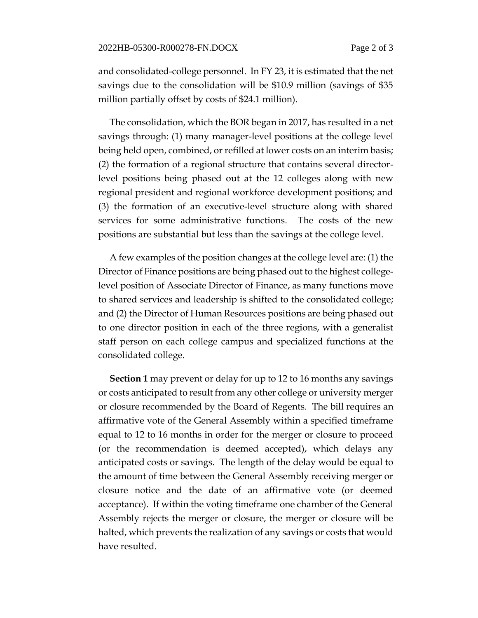and consolidated-college personnel. In FY 23, it is estimated that the net savings due to the consolidation will be \$10.9 million (savings of \$35 million partially offset by costs of \$24.1 million).

The consolidation, which the BOR began in 2017, has resulted in a net savings through: (1) many manager-level positions at the college level being held open, combined, or refilled at lower costs on an interim basis; (2) the formation of a regional structure that contains several directorlevel positions being phased out at the 12 colleges along with new regional president and regional workforce development positions; and (3) the formation of an executive-level structure along with shared services for some administrative functions. The costs of the new positions are substantial but less than the savings at the college level.

A few examples of the position changes at the college level are: (1) the Director of Finance positions are being phased out to the highest collegelevel position of Associate Director of Finance, as many functions move to shared services and leadership is shifted to the consolidated college; and (2) the Director of Human Resources positions are being phased out to one director position in each of the three regions, with a generalist staff person on each college campus and specialized functions at the consolidated college.

**Section 1** may prevent or delay for up to 12 to 16 months any savings or costs anticipated to result from any other college or university merger or closure recommended by the Board of Regents. The bill requires an affirmative vote of the General Assembly within a specified timeframe equal to 12 to 16 months in order for the merger or closure to proceed (or the recommendation is deemed accepted), which delays any anticipated costs or savings. The length of the delay would be equal to the amount of time between the General Assembly receiving merger or closure notice and the date of an affirmative vote (or deemed acceptance). If within the voting timeframe one chamber of the General Assembly rejects the merger or closure, the merger or closure will be halted, which prevents the realization of any savings or costs that would have resulted.